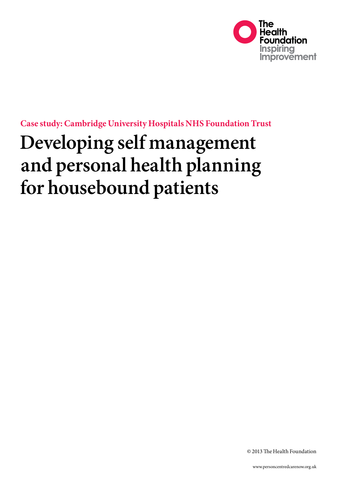

**Case study: Cambridge University Hospitals NHS Foundation Trust** 

# **Developing self management and personal health planning for housebound patients**

© 2013 The Health Foundation

www.personcentredcarenow.org.uk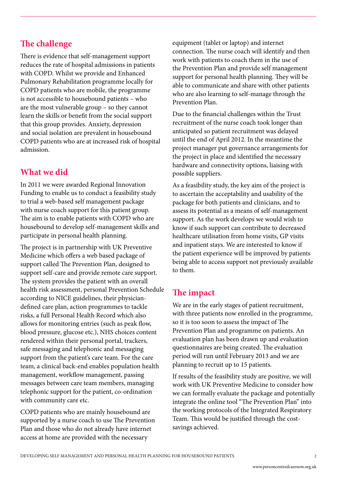## **The challenge**

There is evidence that self-management support reduces the rate of hospital admissions in patients with COPD. Whilst we provide and Enhanced Pulmonary Rehabilitation programme locally for COPD patients who are mobile, the programme is not accessible to housebound patients – who are the most vulnerable group – so they cannot learn the skills or benefit from the social support that this group provides. Anxiety, depression and social isolation are prevalent in housebound COPD patients who are at increased risk of hospital admission.

## **What we did**

In 2011 we were awarded Regional Innovation Funding to enable us to conduct a feasibility study to trial a web-based self management package with nurse coach support for this patient group. The aim is to enable patients with COPD who are housebound to develop self-management skills and participate in personal health planning.

The project is in partnership with UK Preventive Medicine which offers a web based package of support called The Prevention Plan, designed to support self-care and provide remote care support. The system provides the patient with an overall health risk assessment, personal Prevention Schedule according to NICE guidelines, their physiciandefined care plan, action programmes to tackle risks, a full Personal Health Record which also allows for monitoring entries (such as peak flow, blood pressure, glucose etc.), NHS choices content rendered within their personal portal, trackers, safe messaging and telephonic and messaging support from the patient's care team. For the care team, a clinical back-end enables population health management, workflow management, passing messages between care team members, managing telephonic support for the patient, co-ordination with community care etc.

COPD patients who are mainly housebound are supported by a nurse coach to use The Prevention Plan and those who do not already have internet access at home are provided with the necessary

equipment (tablet or laptop) and internet connection. The nurse coach will identify and then work with patients to coach them in the use of the Prevention Plan and provide self management support for personal health planning. They will be able to communicate and share with other patients who are also learning to self-manage through the Prevention Plan.

Due to the financial challenges within the Trust recruitment of the nurse coach took longer than anticipated so patient recruitment was delayed until the end of April 2012. In the meantime the project manager put governance arrangements for the project in place and identified the necessary hardware and connectivity options, liaising with possible suppliers.

As a feasibility study, the key aim of the project is to ascertain the acceptability and usability of the package for both patients and clinicians, and to assess its potential as a means of self-management support. As the work develops we would wish to know if such support can contribute to decreased healthcare utilisation from home visits, GP visits and inpatient stays. We are interested to know if the patient experience will be improved by patients being able to access support not previously available to them.

### **The impact**

We are in the early stages of patient recruitment, with three patients now enrolled in the programme, so it is too soon to assess the impact of The Prevention Plan and programme on patients. An evaluation plan has been drawn up and evaluation questionnaires are being created. The evaluation period will run until February 2013 and we are planning to recruit up to 15 patients.

If results of the feasibility study are positive, we will work with UK Preventive Medicine to consider how we can formally evaluate the package and potentially integrate the online tool "The Prevention Plan" into the working protocols of the Integrated Respiratory Team. This would be justified through the costsavings achieved.